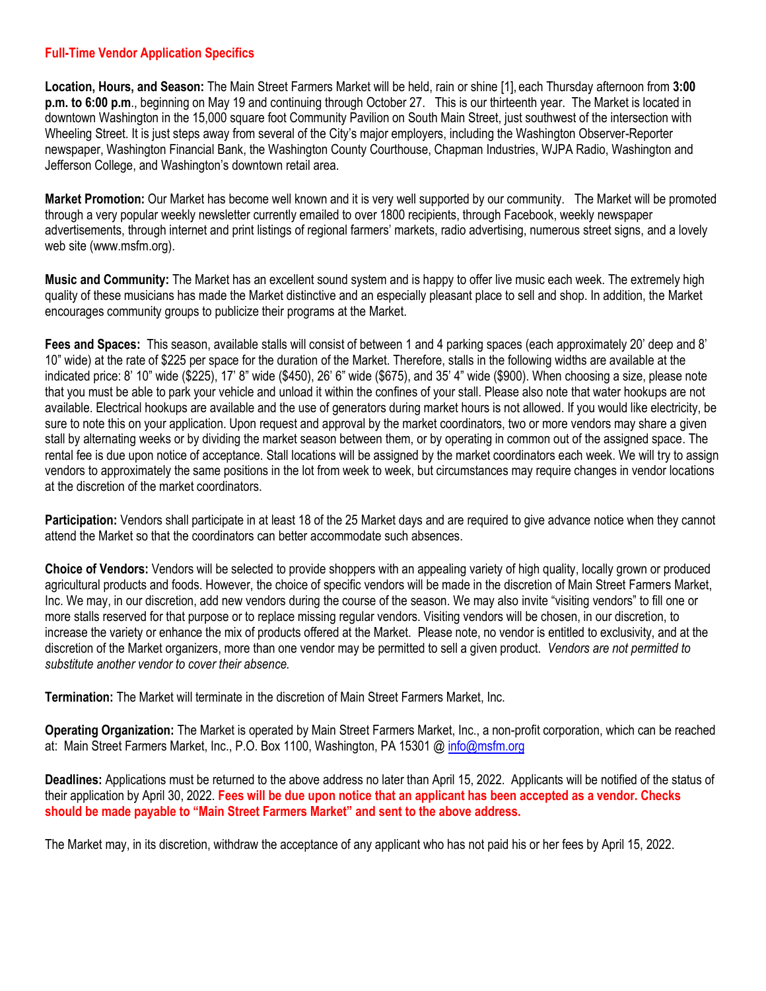## **Full-Time Vendor Application Specifics**

**Location, Hours, and Season:** The Main Street Farmers Market will be held, rain or shine [1], each Thursday afternoon from **3:00 p.m. to 6:00 p.m**., beginning on May 19 and continuing through October 27. This is our thirteenth year. The Market is located in downtown Washington in the 15,000 square foot Community Pavilion on South Main Street, just southwest of the intersection with Wheeling Street. It is just steps away from several of the City's major employers, including the Washington Observer-Reporter newspaper, Washington Financial Bank, the Washington County Courthouse, Chapman Industries, WJPA Radio, Washington and Jefferson College, and Washington's downtown retail area.

**Market Promotion:** Our Market has become well known and it is very well supported by our community. The Market will be promoted through a very popular weekly newsletter currently emailed to over 1800 recipients, through Facebook, weekly newspaper advertisements, through internet and print listings of regional farmers' markets, radio advertising, numerous street signs, and a lovely web site (www.msfm.org).

**Music and Community:** The Market has an excellent sound system and is happy to offer live music each week. The extremely high quality of these musicians has made the Market distinctive and an especially pleasant place to sell and shop. In addition, the Market encourages community groups to publicize their programs at the Market.

**Fees and Spaces:** This season, available stalls will consist of between 1 and 4 parking spaces (each approximately 20' deep and 8' 10" wide) at the rate of \$225 per space for the duration of the Market. Therefore, stalls in the following widths are available at the indicated price: 8' 10" wide (\$225), 17' 8" wide (\$450), 26' 6" wide (\$675), and 35' 4" wide (\$900). When choosing a size, please note that you must be able to park your vehicle and unload it within the confines of your stall. Please also note that water hookups are not available. Electrical hookups are available and the use of generators during market hours is not allowed. If you would like electricity, be sure to note this on your application. Upon request and approval by the market coordinators, two or more vendors may share a given stall by alternating weeks or by dividing the market season between them, or by operating in common out of the assigned space. The rental fee is due upon notice of acceptance. Stall locations will be assigned by the market coordinators each week. We will try to assign vendors to approximately the same positions in the lot from week to week, but circumstances may require changes in vendor locations at the discretion of the market coordinators.

**Participation:** Vendors shall participate in at least 18 of the 25 Market days and are required to give advance notice when they cannot attend the Market so that the coordinators can better accommodate such absences.

**Choice of Vendors:** Vendors will be selected to provide shoppers with an appealing variety of high quality, locally grown or produced agricultural products and foods. However, the choice of specific vendors will be made in the discretion of Main Street Farmers Market, Inc. We may, in our discretion, add new vendors during the course of the season. We may also invite "visiting vendors" to fill one or more stalls reserved for that purpose or to replace missing regular vendors. Visiting vendors will be chosen, in our discretion, to increase the variety or enhance the mix of products offered at the Market. Please note, no vendor is entitled to exclusivity, and at the discretion of the Market organizers, more than one vendor may be permitted to sell a given product. *Vendors are not permitted to substitute another vendor to cover their absence.*

**Termination:** The Market will terminate in the discretion of Main Street Farmers Market, Inc.

**Operating Organization:** The Market is operated by Main Street Farmers Market, Inc., a non-profit corporation, which can be reached at: Main Street Farmers Market, Inc., P.O. Box 1100, Washington, PA 15301 @ [info@msfm.org](mailto:info@msfm.org)

**Deadlines:** Applications must be returned to the above address no later than April 15, 2022. Applicants will be notified of the status of their application by April 30, 2022. **Fees will be due upon notice that an applicant has been accepted as a vendor. Checks should be made payable to "Main Street Farmers Market" and sent to the above address.**

The Market may, in its discretion, withdraw the acceptance of any applicant who has not paid his or her fees by April 15, 2022.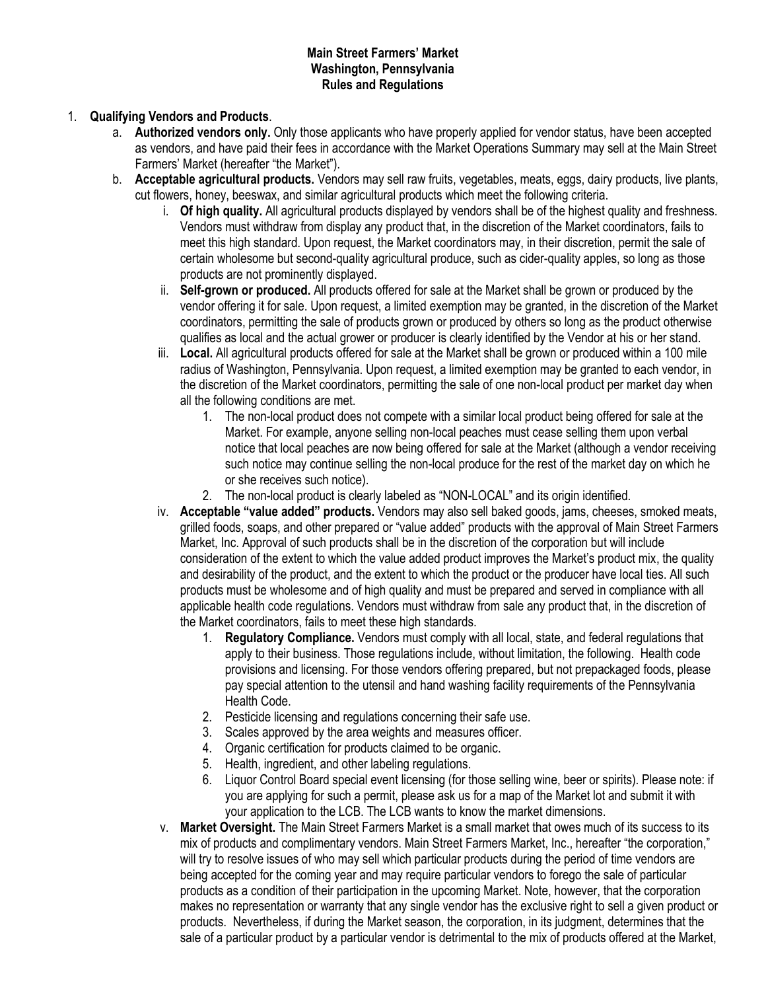## **Main Street Farmers' Market Washington, Pennsylvania Rules and Regulations**

# 1. **Qualifying Vendors and Products**.

- a. **Authorized vendors only.** Only those applicants who have properly applied for vendor status, have been accepted as vendors, and have paid their fees in accordance with the Market Operations Summary may sell at the Main Street Farmers' Market (hereafter "the Market").
- b. **Acceptable agricultural products.** Vendors may sell raw fruits, vegetables, meats, eggs, dairy products, live plants, cut flowers, honey, beeswax, and similar agricultural products which meet the following criteria.
	- i. **Of high quality.** All agricultural products displayed by vendors shall be of the highest quality and freshness. Vendors must withdraw from display any product that, in the discretion of the Market coordinators, fails to meet this high standard. Upon request, the Market coordinators may, in their discretion, permit the sale of certain wholesome but second-quality agricultural produce, such as cider-quality apples, so long as those products are not prominently displayed.
	- ii. **Self-grown or produced.** All products offered for sale at the Market shall be grown or produced by the vendor offering it for sale. Upon request, a limited exemption may be granted, in the discretion of the Market coordinators, permitting the sale of products grown or produced by others so long as the product otherwise qualifies as local and the actual grower or producer is clearly identified by the Vendor at his or her stand.
	- iii. **Local.** All agricultural products offered for sale at the Market shall be grown or produced within a 100 mile radius of Washington, Pennsylvania. Upon request, a limited exemption may be granted to each vendor, in the discretion of the Market coordinators, permitting the sale of one non-local product per market day when all the following conditions are met.
		- 1. The non-local product does not compete with a similar local product being offered for sale at the Market. For example, anyone selling non-local peaches must cease selling them upon verbal notice that local peaches are now being offered for sale at the Market (although a vendor receiving such notice may continue selling the non-local produce for the rest of the market day on which he or she receives such notice).
		- 2. The non-local product is clearly labeled as "NON-LOCAL" and its origin identified.
	- iv. **Acceptable "value added" products.** Vendors may also sell baked goods, jams, cheeses, smoked meats, grilled foods, soaps, and other prepared or "value added" products with the approval of Main Street Farmers Market, Inc. Approval of such products shall be in the discretion of the corporation but will include consideration of the extent to which the value added product improves the Market's product mix, the quality and desirability of the product, and the extent to which the product or the producer have local ties. All such products must be wholesome and of high quality and must be prepared and served in compliance with all applicable health code regulations. Vendors must withdraw from sale any product that, in the discretion of the Market coordinators, fails to meet these high standards.
		- 1. **Regulatory Compliance.** Vendors must comply with all local, state, and federal regulations that apply to their business. Those regulations include, without limitation, the following. Health code provisions and licensing. For those vendors offering prepared, but not prepackaged foods, please pay special attention to the utensil and hand washing facility requirements of the Pennsylvania Health Code.
		- 2. Pesticide licensing and regulations concerning their safe use.
		- 3. Scales approved by the area weights and measures officer.
		- 4. Organic certification for products claimed to be organic.
		- 5. Health, ingredient, and other labeling regulations.
		- 6. Liquor Control Board special event licensing (for those selling wine, beer or spirits). Please note: if you are applying for such a permit, please ask us for a map of the Market lot and submit it with your application to the LCB. The LCB wants to know the market dimensions.
	- v. **Market Oversight.** The Main Street Farmers Market is a small market that owes much of its success to its mix of products and complimentary vendors. Main Street Farmers Market, Inc., hereafter "the corporation," will try to resolve issues of who may sell which particular products during the period of time vendors are being accepted for the coming year and may require particular vendors to forego the sale of particular products as a condition of their participation in the upcoming Market. Note, however, that the corporation makes no representation or warranty that any single vendor has the exclusive right to sell a given product or products. Nevertheless, if during the Market season, the corporation, in its judgment, determines that the sale of a particular product by a particular vendor is detrimental to the mix of products offered at the Market,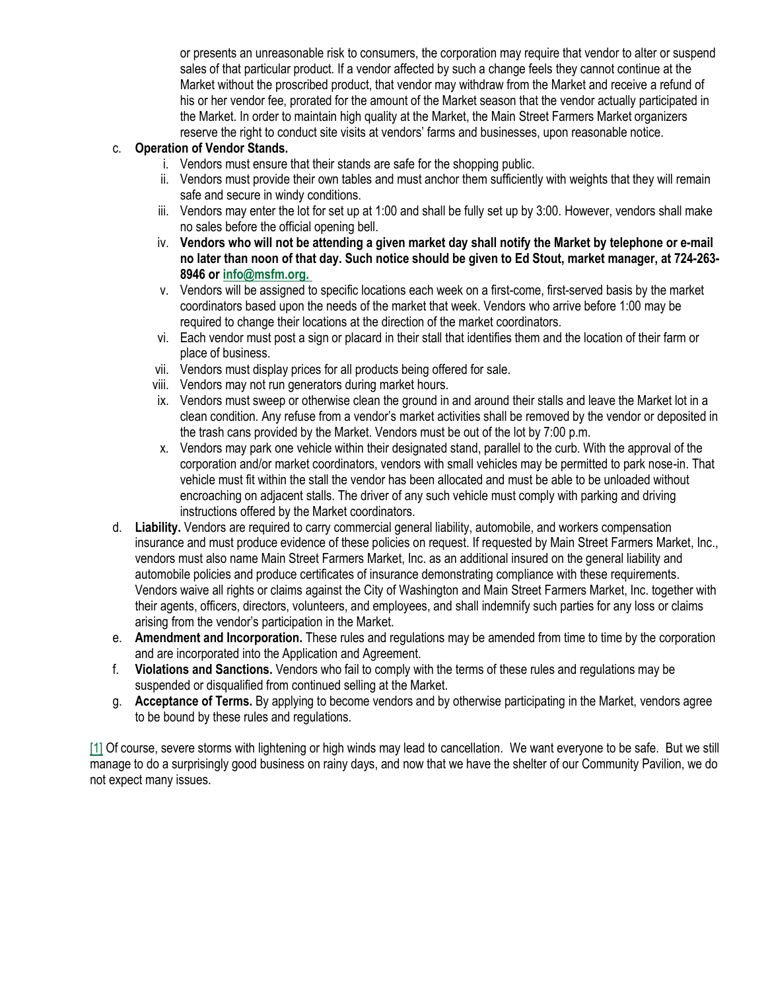or presents an unreasonable risk to consumers, the corporation may require that vendor to alter or suspend sales of that particular product. If a vendor affected by such a change feels they cannot continue at the Market without the proscribed product, that vendor may withdraw from the Market and receive a refund of his or her vendor fee, prorated for the amount of the Market season that the vendor actually participated in the Market. In order to maintain high quality at the Market, the Main Street Farmers Market organizers reserve the right to conduct site visits at vendors' farms and businesses, upon reasonable notice.

# c. **Operation of Vendor Stands.**

- i. Vendors must ensure that their stands are safe for the shopping public.
- ii. Vendors must provide their own tables and must anchor them sufficiently with weights that they will remain safe and secure in windy conditions.
- iii. Vendors may enter the lot for set up at 1:00 and shall be fully set up by 3:00. However, vendors shall make no sales before the official opening bell.
- iv. Vendors who will not be attending a given market day shall notify the Market by telephone or e-mail no later than noon of that day. Such notice should be given to Ed Stout, market manager, at 724-263-**8946 or [info@msfm.org.](mailto:info@msfm.org.%C2%A0)**
- v. Vendors will be assigned to specific locations each week on a first-come, first-served basis by the market coordinators based upon the needs of the market that week. Vendors who arrive before 1:00 may be required to change their locations at the direction of the market coordinators.
- vi. Each vendor must post a sign or placard in their stall that identifies them and the location of their farm or place of business.
- vii. Vendors must display prices for all products being offered for sale.
- viii. Vendors may not run generators during market hours.
- ix. Vendors must sweep or otherwise clean the ground in and around their stalls and leave the Market lot in a clean condition. Any refuse from a vendor's market activities shall be removed by the vendor or deposited in the trash cans provided by the Market. Vendors must be out of the lot by 7:00 p.m.
- x. Vendors may park one vehicle within their designated stand, parallel to the curb. With the approval of the corporation and/or market coordinators, vendors with small vehicles may be permitted to park nose-in. That vehicle must fit within the stall the vendor has been allocated and must be able to be unloaded without encroaching on adjacent stalls. The driver of any such vehicle must comply with parking and driving instructions offered by the Market coordinators.
- d. **Liability.** Vendors are required to carry commercial general liability, automobile, and workers compensation insurance and must produce evidence of these policies on request. If requested by Main Street Farmers Market, Inc., vendors must also name Main Street Farmers Market, Inc. as an additional insured on the general liability and automobile policies and produce certificates of insurance demonstrating compliance with these requirements. Vendors waive all rights or claims against the City of Washington and Main Street Farmers Market, Inc. together with their agents, officers, directors, volunteers, and employees, and shall indemnify such parties for any loss or claims arising from the vendor's participation in the Market.
- e. **Amendment and Incorporation.** These rules and regulations may be amended from time to time by the corporation and are incorporated into the Application and Agreement.
- f. **Violations and Sanctions.** Vendors who fail to comply with the terms of these rules and regulations may be suspended or disqualified from continued selling at the Market.
- g. **Acceptance of Terms.** By applying to become vendors and by otherwise participating in the Market, vendors agree to be bound by these rules and regulations.

[\[1\]](http://msfm.org/full-time-vendor-agreement/#_ftnref1) Of course, severe storms with lightening or high winds may lead to cancellation. We want everyone to be safe. But we still manage to do a surprisingly good business on rainy days, and now that we have the shelter of our Community Pavilion, we do not expect many issues.